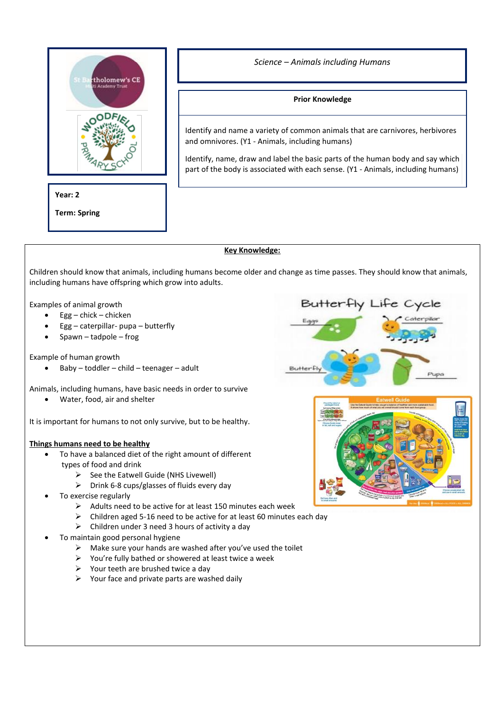

# **Year: 2**

**Term: Spring**

*Science – Animals including Humans*

# **Prior Knowledge**

Identify and name a variety of common animals that are carnivores, herbivores and omnivores. (Y1 - Animals, including humans)

Identify, name, draw and label the basic parts of the human body and say which part of the body is associated with each sense. (Y1 - Animals, including humans)

## **Key Knowledge:**

Children should know that animals, including humans become older and change as time passes. They should know that animals, including humans have offspring which grow into adults.

Examples of animal growth

- $Egg -$ chick chicken
- Egg caterpillar- pupa butterfly
- Spawn tadpole frog

Example of human growth

• Baby – toddler – child – teenager – adult

Animals, including humans, have basic needs in order to survive

• Water, food, air and shelter

It is important for humans to not only survive, but to be healthy.

## **Things humans need to be healthy**

- To have a balanced diet of the right amount of different types of food and drink
	- ➢ See the Eatwell Guide (NHS Livewell)
	- ➢ Drink 6-8 cups/glasses of fluids every day
- To exercise regularly
	- ➢ Adults need to be active for at least 150 minutes each week
	- ➢ Children aged 5-16 need to be active for at least 60 minutes each day
	- $\triangleright$  Children under 3 need 3 hours of activity a day
- To maintain good personal hygiene
	- $\triangleright$  Make sure your hands are washed after you've used the toilet
	- ➢ You're fully bathed or showered at least twice a week
	- $\triangleright$  Your teeth are brushed twice a day
	- $\triangleright$  Your face and private parts are washed daily

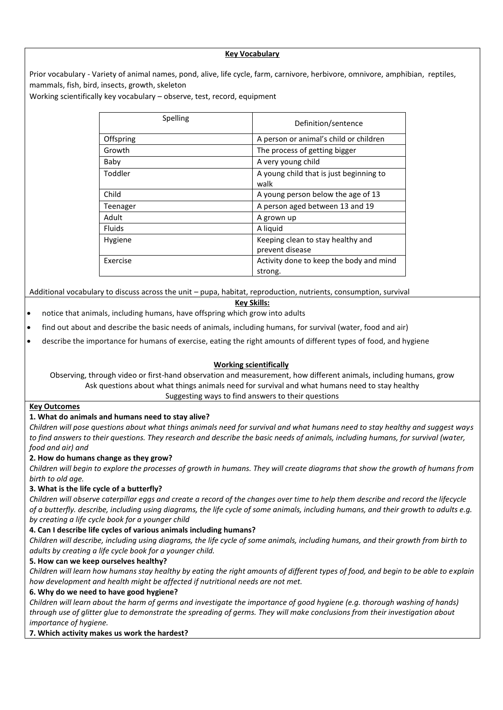### **Key Vocabulary**

Prior vocabulary - Variety of animal names, pond, alive, life cycle, farm, carnivore, herbivore, omnivore, amphibian, reptiles, mammals, fish, bird, insects, growth, skeleton

Working scientifically key vocabulary – observe, test, record, equipment

| Spelling      | Definition/sentence                             |
|---------------|-------------------------------------------------|
| Offspring     | A person or animal's child or children          |
| Growth        | The process of getting bigger                   |
| Baby          | A very young child                              |
| Toddler       | A young child that is just beginning to<br>walk |
| Child         | A young person below the age of 13              |
| Teenager      | A person aged between 13 and 19                 |
| Adult         | A grown up                                      |
| <b>Fluids</b> | A liquid                                        |
| Hygiene       | Keeping clean to stay healthy and               |
|               | prevent disease                                 |
| Exercise      | Activity done to keep the body and mind         |
|               | strong.                                         |

Additional vocabulary to discuss across the unit – pupa, habitat, reproduction, nutrients, consumption, survival

#### **Key Skills:**

• notice that animals, including humans, have offspring which grow into adults

find out about and describe the basic needs of animals, including humans, for survival (water, food and air)

• describe the importance for humans of exercise, eating the right amounts of different types of food, and hygiene

## **Working scientifically**

Observing, through video or first-hand observation and measurement, how different animals, including humans, grow Ask questions about what things animals need for survival and what humans need to stay healthy Suggesting ways to find answers to their questions

### **Key Outcomes**

### **1. What do animals and humans need to stay alive?**

*Children will pose questions about what things animals need for survival and what humans need to stay healthy and suggest ways to find answers to their questions. They research and describe the basic needs of animals, including humans, for survival (water, food and air) and*

### **2. How do humans change as they grow?**

*Children will begin to explore the processes of growth in humans. They will create diagrams that show the growth of humans from birth to old age.*

### **3. What is the life cycle of a butterfly?**

*Children will observe caterpillar eggs and create a record of the changes over time to help them describe and record the lifecycle of a butterfly. describe, including using diagrams, the life cycle of some animals, including humans, and their growth to adults e.g. by creating a life cycle book for a younger child*

### **4. Can I describe life cycles of various animals including humans?**

*Children will describe, including using diagrams, the life cycle of some animals, including humans, and their growth from birth to adults by creating a life cycle book for a younger child.*

### **5. How can we keep ourselves healthy?**

*Children will learn how humans stay healthy by eating the right amounts of different types of food, and begin to be able to explain how development and health might be affected if nutritional needs are not met.*

### **6. Why do we need to have good hygiene?**

*Children will learn about the harm of germs and investigate the importance of good hygiene (e.g. thorough washing of hands) through use of glitter glue to demonstrate the spreading of germs. They will make conclusions from their investigation about importance of hygiene.*

### **7. Which activity makes us work the hardest?**